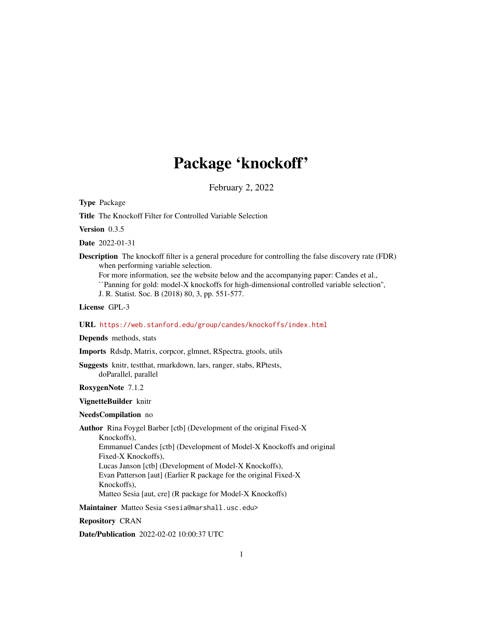# Package 'knockoff'

February 2, 2022

<span id="page-0-0"></span>Type Package

Title The Knockoff Filter for Controlled Variable Selection

Version 0.3.5

Date 2022-01-31

Description The knockoff filter is a general procedure for controlling the false discovery rate (FDR) when performing variable selection.

For more information, see the website below and the accompanying paper: Candes et al., ``Panning for gold: model-X knockoffs for high-dimensional controlled variable selection'', J. R. Statist. Soc. B (2018) 80, 3, pp. 551-577.

License GPL-3

URL <https://web.stanford.edu/group/candes/knockoffs/index.html>

Depends methods, stats

Imports Rdsdp, Matrix, corpcor, glmnet, RSpectra, gtools, utils

Suggests knitr, testthat, rmarkdown, lars, ranger, stabs, RPtests, doParallel, parallel

RoxygenNote 7.1.2

VignetteBuilder knitr

#### NeedsCompilation no

Author Rina Foygel Barber [ctb] (Development of the original Fixed-X Knockoffs), Emmanuel Candes [ctb] (Development of Model-X Knockoffs and original Fixed-X Knockoffs), Lucas Janson [ctb] (Development of Model-X Knockoffs), Evan Patterson [aut] (Earlier R package for the original Fixed-X Knockoffs), Matteo Sesia [aut, cre] (R package for Model-X Knockoffs)

Maintainer Matteo Sesia <sesia@marshall.usc.edu>

Repository CRAN

Date/Publication 2022-02-02 10:00:37 UTC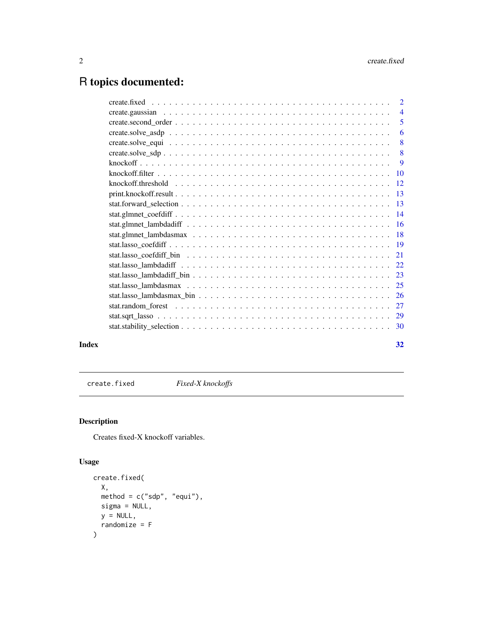## <span id="page-1-0"></span>R topics documented:

| Index | 32 |
|-------|----|

<span id="page-1-1"></span>create.fixed *Fixed-X knockoffs*

### Description

Creates fixed-X knockoff variables.

### Usage

```
create.fixed(
 X,
 method = c("sdp", "equi"),
 sigma = NULL,
 y = NULL,randomize = F
)
```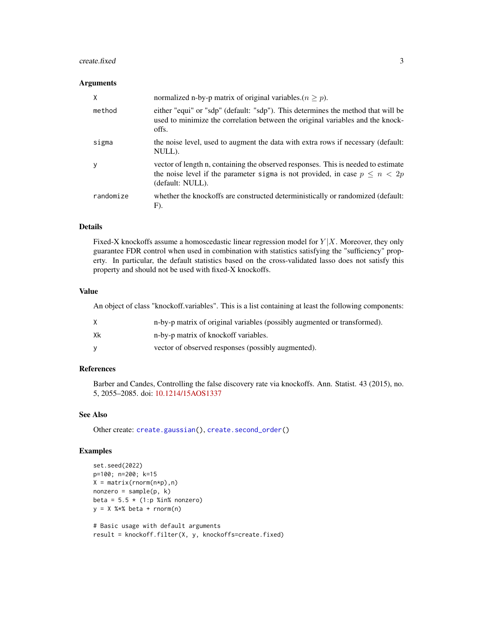#### <span id="page-2-0"></span> $\alpha$ create.fixed  $\beta$

#### **Arguments**

| X            | normalized n-by-p matrix of original variables.( $n \geq p$ ).                                                                                                                           |
|--------------|------------------------------------------------------------------------------------------------------------------------------------------------------------------------------------------|
| method       | either "equi" or "sdp" (default: "sdp"). This determines the method that will be<br>used to minimize the correlation between the original variables and the knock-<br>offs.              |
| sigma        | the noise level, used to augment the data with extra rows if necessary (default:<br>NULL).                                                                                               |
| <sub>V</sub> | vector of length n, containing the observed responses. This is needed to estimate<br>the noise level if the parameter sigma is not provided, in case $p \leq n < 2p$<br>(default: NULL). |
| randomize    | whether the knockoffs are constructed deterministically or randomized (default:<br>F).                                                                                                   |

#### Details

Fixed-X knockoffs assume a homoscedastic linear regression model for  $Y|X$ . Moreover, they only guarantee FDR control when used in combination with statistics satisfying the "sufficiency" property. In particular, the default statistics based on the cross-validated lasso does not satisfy this property and should not be used with fixed-X knockoffs.

#### Value

An object of class "knockoff.variables". This is a list containing at least the following components:

|    | n-by-p matrix of original variables (possibly augmented or transformed). |
|----|--------------------------------------------------------------------------|
| Xk | n-by-p matrix of knockoff variables.                                     |
|    | vector of observed responses (possibly augmented).                       |

#### References

Barber and Candes, Controlling the false discovery rate via knockoffs. Ann. Statist. 43 (2015), no. 5, 2055–2085. doi: [10.1214/15AOS1337](https://doi.org/10.1214/15-AOS1337)

#### See Also

Other create: [create.gaussian\(](#page-3-1)), [create.second\\_order\(](#page-4-1))

#### Examples

```
set.seed(2022)
p=100; n=200; k=15
X = matrix(rnorm(n*p), n)nonzero = sample(p, k)beta = 5.5 \times (1:p %in% = 0.00000)y = X %*% beta + rnorm(n)
# Basic usage with default arguments
```
result = knockoff.filter(X, y, knockoffs=create.fixed)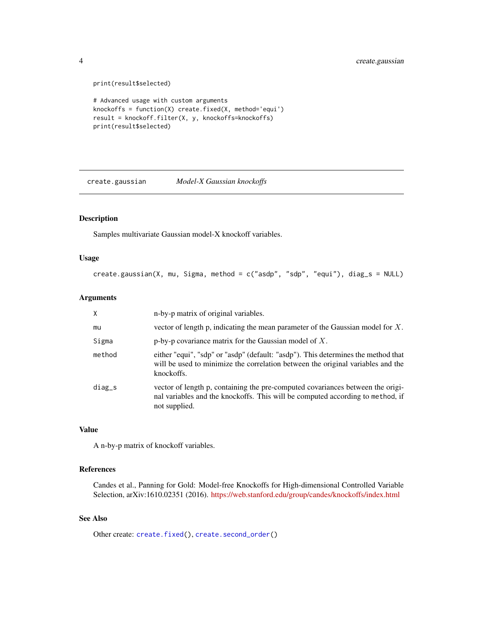print(result\$selected)

```
# Advanced usage with custom arguments
knockoffs = function(X) create.fixed(X, method='equi')
result = knockoff.filter(X, y, knockoffs=knockoffs)
print(result$selected)
```
<span id="page-3-1"></span>create.gaussian *Model-X Gaussian knockoffs*

#### Description

Samples multivariate Gaussian model-X knockoff variables.

#### Usage

```
create.gaussian(X, mu, Sigma, method = c("asdp", "sdp", "equi"), diag_s = NULL)
```
#### Arguments

| $\times$ | n-by-p matrix of original variables.                                                                                                                                               |
|----------|------------------------------------------------------------------------------------------------------------------------------------------------------------------------------------|
| mu       | vector of length p, indicating the mean parameter of the Gaussian model for $X$ .                                                                                                  |
| Sigma    | p-by-p covariance matrix for the Gaussian model of $X$ .                                                                                                                           |
| method   | either "equi", "sdp" or "asdp" (default: "asdp"). This determines the method that<br>will be used to minimize the correlation between the original variables and the<br>knockoffs. |
| $diag_s$ | vector of length p, containing the pre-computed covariances between the origi-<br>nal variables and the knockoffs. This will be computed according to method, if<br>not supplied.  |

#### Value

A n-by-p matrix of knockoff variables.

#### References

Candes et al., Panning for Gold: Model-free Knockoffs for High-dimensional Controlled Variable Selection, arXiv:1610.02351 (2016). <https://web.stanford.edu/group/candes/knockoffs/index.html>

#### See Also

Other create: [create.fixed\(](#page-1-1)), [create.second\\_order\(](#page-4-1))

<span id="page-3-0"></span>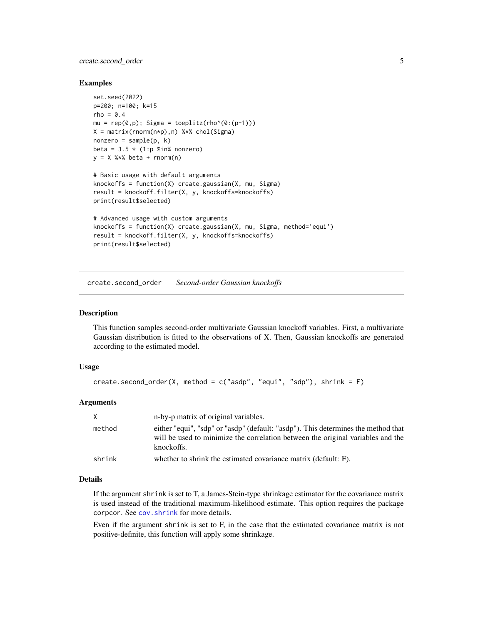#### <span id="page-4-0"></span>create.second\_order 5

#### Examples

```
set.seed(2022)
p=200; n=100; k=15
rho = 0.4mu = rep(0,p); Sigma = toeplitz(rho^(0:(p-1)))
X = matrix(rnorm(n*p),n) %*% chol(Sigma)
nonzero = sample(p, k)beta = 3.5 * (1:p %in% nonzero)y = X %*% beta + rnorm(n)# Basic usage with default arguments
knockoffs = function(X) create.gaussian(X, mu, Sigma)
result = knockoff.filter(X, y, knockoffs=knockoffs)
print(result$selected)
# Advanced usage with custom arguments
knockoffs = function(X) create.gaussian(X, mu, Sigma, method='equi')
result = knockoff.filter(X, y, knockoffs=knockoffs)
print(result$selected)
```
<span id="page-4-1"></span>create.second\_order *Second-order Gaussian knockoffs*

#### **Description**

This function samples second-order multivariate Gaussian knockoff variables. First, a multivariate Gaussian distribution is fitted to the observations of X. Then, Gaussian knockoffs are generated according to the estimated model.

#### Usage

```
create.second_order(X, method = c("asdp", "equi", "sdp"), shrink = F)
```
#### Arguments

| X      | n-by-p matrix of original variables.                                                                                                                                               |
|--------|------------------------------------------------------------------------------------------------------------------------------------------------------------------------------------|
| method | either "equi", "sdp" or "asdp" (default: "asdp"). This determines the method that<br>will be used to minimize the correlation between the original variables and the<br>knockoffs. |
| shrink | whether to shrink the estimated covariance matrix (default: F).                                                                                                                    |

#### Details

If the argument shrink is set to T, a James-Stein-type shrinkage estimator for the covariance matrix is used instead of the traditional maximum-likelihood estimate. This option requires the package corpcor. See [cov.shrink](#page-0-0) for more details.

Even if the argument shrink is set to F, in the case that the estimated covariance matrix is not positive-definite, this function will apply some shrinkage.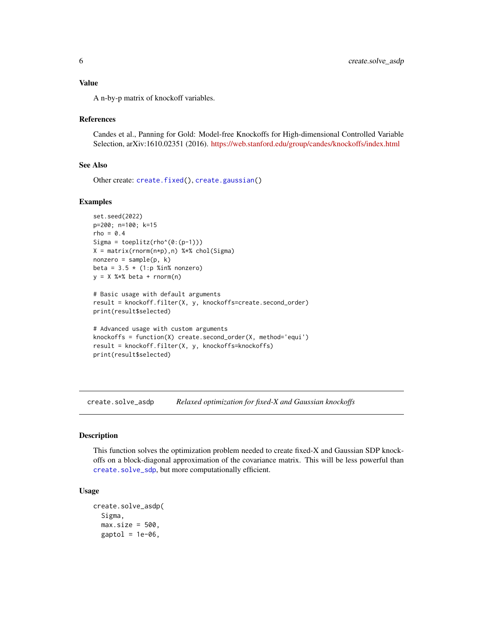#### <span id="page-5-0"></span>Value

A n-by-p matrix of knockoff variables.

#### References

Candes et al., Panning for Gold: Model-free Knockoffs for High-dimensional Controlled Variable Selection, arXiv:1610.02351 (2016). <https://web.stanford.edu/group/candes/knockoffs/index.html>

#### See Also

Other create: [create.fixed\(](#page-1-1)), [create.gaussian\(](#page-3-1))

#### Examples

```
set.seed(2022)
p=200; n=100; k=15
rho = 0.4Sigma = toeplitz(rho^{\(0: (p-1))})X = matrix(rnorm(n*p),n) %*% chol(Sigma)
nonzero = sample(p, k)beta = 3.5 * (1:p %in% nonzero)y = X %*% beta + rnorm(n)# Basic usage with default arguments
```

```
result = knockoff.filter(X, y, knockoffs=create.second_order)
print(result$selected)
```

```
# Advanced usage with custom arguments
knockoffs = function(X) create.second_order(X, method='equi')
result = knockoff.filter(X, y, knockoffs=knockoffs)
print(result$selected)
```
<span id="page-5-1"></span>create.solve\_asdp *Relaxed optimization for fixed-X and Gaussian knockoffs*

#### Description

This function solves the optimization problem needed to create fixed-X and Gaussian SDP knockoffs on a block-diagonal approximation of the covariance matrix. This will be less powerful than [create.solve\\_sdp](#page-7-1), but more computationally efficient.

#### Usage

```
create.solve_asdp(
  Sigma,
  max.size = 500,
  gaptol = 1e-06,
```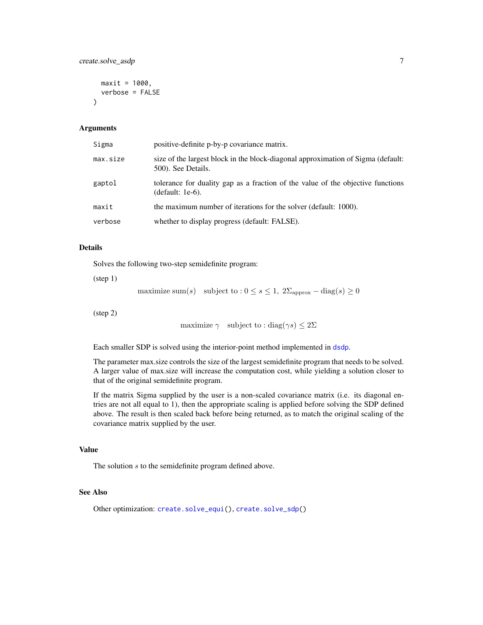```
maxit = 1000,
  verbose = FALSE
\lambda
```
#### Arguments

| Sigma    | positive-definite p-by-p covariance matrix.                                                            |
|----------|--------------------------------------------------------------------------------------------------------|
| max.size | size of the largest block in the block-diagonal approximation of Sigma (default:<br>500). See Details. |
| gaptol   | tolerance for duality gap as a fraction of the value of the objective functions<br>$(default: 1e-6).$  |
| maxit    | the maximum number of iterations for the solver (default: 1000).                                       |
| verbose  | whether to display progress (default: FALSE).                                                          |

#### Details

Solves the following two-step semidefinite program:

(step 1)

maximize sum(s) subject to :  $0 \le s \le 1$ ,  $2\Sigma_{\text{approx}} - \text{diag}(s) \ge 0$ 

(step 2)

```
maximize \gamma subject to : diag(\gamma s) \leq 2\Sigma
```
Each smaller SDP is solved using the interior-point method implemented in [dsdp](#page-0-0).

The parameter max.size controls the size of the largest semidefinite program that needs to be solved. A larger value of max.size will increase the computation cost, while yielding a solution closer to that of the original semidefinite program.

If the matrix Sigma supplied by the user is a non-scaled covariance matrix (i.e. its diagonal entries are not all equal to 1), then the appropriate scaling is applied before solving the SDP defined above. The result is then scaled back before being returned, as to match the original scaling of the covariance matrix supplied by the user.

#### Value

The solution s to the semidefinite program defined above.

#### See Also

Other optimization: [create.solve\\_equi\(](#page-7-2)), [create.solve\\_sdp\(](#page-7-1))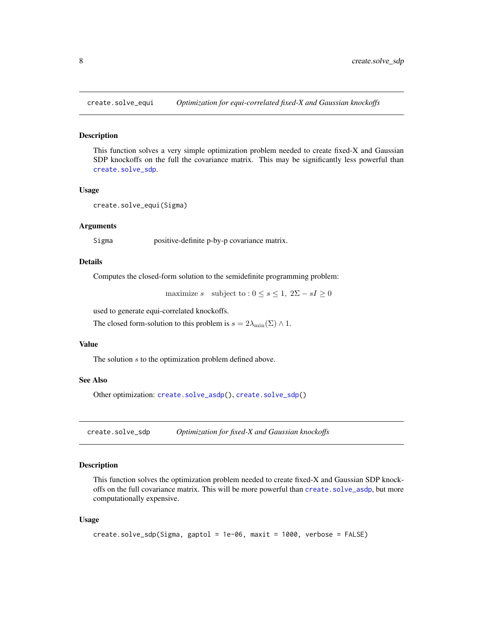<span id="page-7-2"></span><span id="page-7-0"></span>

#### Description

This function solves a very simple optimization problem needed to create fixed-X and Gaussian SDP knockoffs on the full the covariance matrix. This may be significantly less powerful than [create.solve\\_sdp](#page-7-1).

#### Usage

```
create.solve_equi(Sigma)
```
#### Arguments

Sigma positive-definite p-by-p covariance matrix.

#### Details

Computes the closed-form solution to the semidefinite programming problem:

maximize s subject to :  $0 \le s \le 1$ ,  $2\Sigma - sI \ge 0$ 

used to generate equi-correlated knockoffs.

The closed form-solution to this problem is  $s = 2\lambda_{\min}(\Sigma) \wedge 1$ .

#### Value

The solution s to the optimization problem defined above.

#### See Also

Other optimization: [create.solve\\_asdp\(](#page-5-1)), [create.solve\\_sdp\(](#page-7-1))

<span id="page-7-1"></span>create.solve\_sdp *Optimization for fixed-X and Gaussian knockoffs*

#### Description

This function solves the optimization problem needed to create fixed-X and Gaussian SDP knockoffs on the full covariance matrix. This will be more powerful than [create.solve\\_asdp](#page-5-1), but more computationally expensive.

#### Usage

```
create.solve_sdp(Sigma, gaptol = 1e-06, maxit = 1000, verbose = FALSE)
```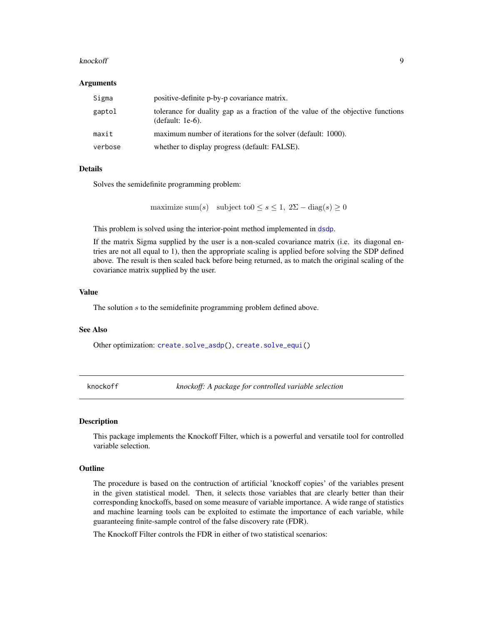#### <span id="page-8-0"></span>knockoff 9

#### Arguments

| Sigma   | positive-definite p-by-p covariance matrix.                                                            |
|---------|--------------------------------------------------------------------------------------------------------|
| gaptol  | tolerance for duality gap as a fraction of the value of the objective functions<br>(default: $1e-6$ ). |
| maxit   | maximum number of iterations for the solver (default: 1000).                                           |
| verbose | whether to display progress (default: FALSE).                                                          |

#### Details

Solves the semidefinite programming problem:

maximize sum(s) subject to $0 \leq s \leq 1$ ,  $2\Sigma - \text{diag}(s) \geq 0$ 

This problem is solved using the interior-point method implemented in [dsdp](#page-0-0).

If the matrix Sigma supplied by the user is a non-scaled covariance matrix (i.e. its diagonal entries are not all equal to 1), then the appropriate scaling is applied before solving the SDP defined above. The result is then scaled back before being returned, as to match the original scaling of the covariance matrix supplied by the user.

#### Value

The solution s to the semidefinite programming problem defined above.

#### See Also

Other optimization: [create.solve\\_asdp\(](#page-5-1)), [create.solve\\_equi\(](#page-7-2))

knockoff *knockoff: A package for controlled variable selection*

#### **Description**

This package implements the Knockoff Filter, which is a powerful and versatile tool for controlled variable selection.

#### Outline

The procedure is based on the contruction of artificial 'knockoff copies' of the variables present in the given statistical model. Then, it selects those variables that are clearly better than their corresponding knockoffs, based on some measure of variable importance. A wide range of statistics and machine learning tools can be exploited to estimate the importance of each variable, while guaranteeing finite-sample control of the false discovery rate (FDR).

The Knockoff Filter controls the FDR in either of two statistical scenarios: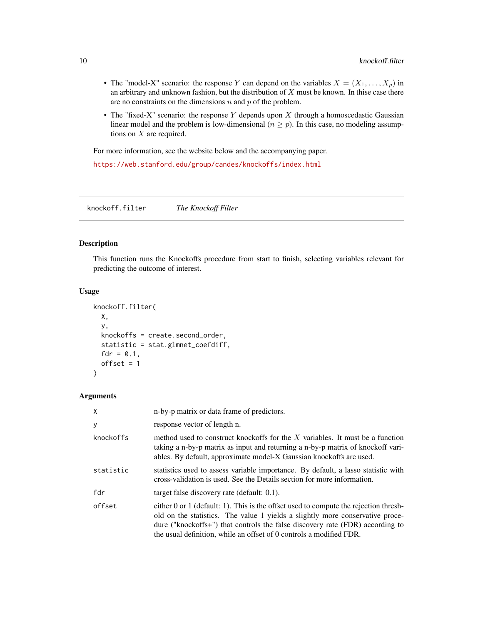- <span id="page-9-0"></span>• The "model-X" scenario: the response Y can depend on the variables  $X = (X_1, \ldots, X_p)$  in an arbitrary and unknown fashion, but the distribution of  $X$  must be known. In thise case there are no constraints on the dimensions  $n$  and  $p$  of the problem.
- The "fixed-X" scenario: the response Y depends upon  $X$  through a homoscedastic Gaussian linear model and the problem is low-dimensional ( $n \geq p$ ). In this case, no modeling assumptions on  $X$  are required.

For more information, see the website below and the accompanying paper.

<https://web.stanford.edu/group/candes/knockoffs/index.html>

knockoff.filter *The Knockoff Filter*

#### Description

This function runs the Knockoffs procedure from start to finish, selecting variables relevant for predicting the outcome of interest.

#### Usage

```
knockoff.filter(
 X,
 y,
 knockoffs = create.second_order,
  statistic = stat.glmnet_coefdiff,
  fdr = 0.1,
 offset = 1)
```
#### Arguments

| X         | n-by-p matrix or data frame of predictors.                                                                                                                                                                                                                                                                                    |
|-----------|-------------------------------------------------------------------------------------------------------------------------------------------------------------------------------------------------------------------------------------------------------------------------------------------------------------------------------|
| У         | response vector of length n.                                                                                                                                                                                                                                                                                                  |
| knockoffs | method used to construct knockoffs for the $X$ variables. It must be a function<br>taking a n-by-p matrix as input and returning a n-by-p matrix of knockoff vari-<br>ables. By default, approximate model-X Gaussian knockoffs are used.                                                                                     |
| statistic | statistics used to assess variable importance. By default, a lasso statistic with<br>cross-validation is used. See the Details section for more information.                                                                                                                                                                  |
| fdr       | target false discovery rate (default: $0.1$ ).                                                                                                                                                                                                                                                                                |
| offset    | either 0 or 1 (default: 1). This is the offset used to compute the rejection thresh-<br>old on the statistics. The value 1 yields a slightly more conservative proce-<br>dure ("knockoffs+") that controls the false discovery rate (FDR) according to<br>the usual definition, while an offset of 0 controls a modified FDR. |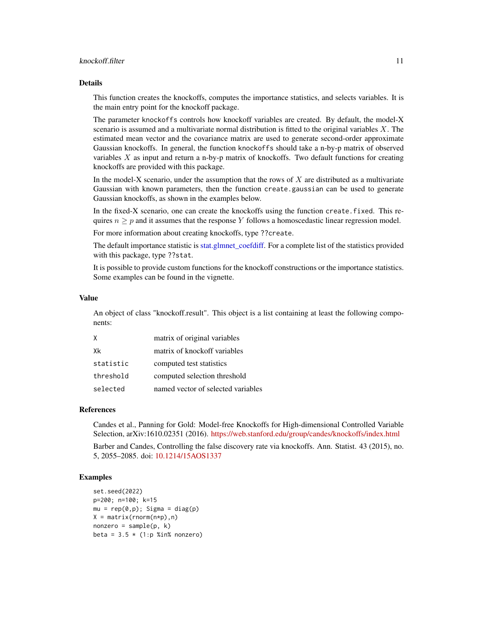#### <span id="page-10-0"></span>knockoff.filter 11

#### Details

This function creates the knockoffs, computes the importance statistics, and selects variables. It is the main entry point for the knockoff package.

The parameter knockoffs controls how knockoff variables are created. By default, the model-X scenario is assumed and a multivariate normal distribution is fitted to the original variables  $X$ . The estimated mean vector and the covariance matrix are used to generate second-order approximate Gaussian knockoffs. In general, the function knockoffs should take a n-by-p matrix of observed variables  $X$  as input and return a n-by-p matrix of knockoffs. Two default functions for creating knockoffs are provided with this package.

In the model-X scenario, under the assumption that the rows of  $X$  are distributed as a multivariate Gaussian with known parameters, then the function create.gaussian can be used to generate Gaussian knockoffs, as shown in the examples below.

In the fixed-X scenario, one can create the knockoffs using the function create.fixed. This requires  $n \geq p$  and it assumes that the response Y follows a homoscedastic linear regression model.

For more information about creating knockoffs, type ??create.

The default importance statistic is stat.glmnet coefdiff. For a complete list of the statistics provided with this package, type ??stat.

It is possible to provide custom functions for the knockoff constructions or the importance statistics. Some examples can be found in the vignette.

#### Value

An object of class "knockoff.result". This object is a list containing at least the following components:

| Χ         | matrix of original variables       |
|-----------|------------------------------------|
| Xk        | matrix of knockoff variables       |
| statistic | computed test statistics           |
| threshold | computed selection threshold       |
| selected  | named vector of selected variables |

#### References

Candes et al., Panning for Gold: Model-free Knockoffs for High-dimensional Controlled Variable Selection, arXiv:1610.02351 (2016). <https://web.stanford.edu/group/candes/knockoffs/index.html>

Barber and Candes, Controlling the false discovery rate via knockoffs. Ann. Statist. 43 (2015), no. 5, 2055–2085. doi: [10.1214/15AOS1337](https://doi.org/10.1214/15-AOS1337)

#### Examples

```
set.seed(2022)
p=200; n=100; k=15
mu = rep(0,p); Sigma = diag(p)
X = matrix(rnorm(n*p),n)nonzero = sample(p, k)beta = 3.5 * (1:p %in% nonzero)
```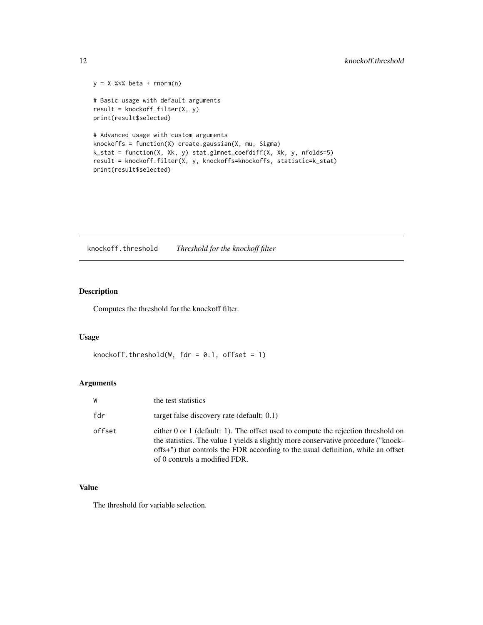```
y = X %*% beta + rnorm(n)
# Basic usage with default arguments
result = knockoutff.fiter(X, y)print(result$selected)
# Advanced usage with custom arguments
knockoffs = function(X) create.gaussian(X, mu, Sigma)
k_stat = function(X, Xk, y) stat.glmnet_coefdiff(X, Xk, y, nfolds=5)
result = knockoff.filter(X, y, knockoffs=knockoffs, statistic=k_stat)
print(result$selected)
```
knockoff.threshold *Threshold for the knockoff filter*

#### Description

Computes the threshold for the knockoff filter.

#### Usage

```
knockoff.threshold(W, fdr = 0.1, offset = 1)
```
#### Arguments

| W      | the test statistics                                                                                                                                                                                                                                                                              |
|--------|--------------------------------------------------------------------------------------------------------------------------------------------------------------------------------------------------------------------------------------------------------------------------------------------------|
| fdr    | target false discovery rate (default: $0.1$ )                                                                                                                                                                                                                                                    |
| offset | either $0$ or $1$ (default: 1). The offset used to compute the rejection threshold on<br>the statistics. The value 1 yields a slightly more conservative procedure ("knock-<br>offs+") that controls the FDR according to the usual definition, while an offset<br>of 0 controls a modified FDR. |

#### Value

The threshold for variable selection.

<span id="page-11-0"></span>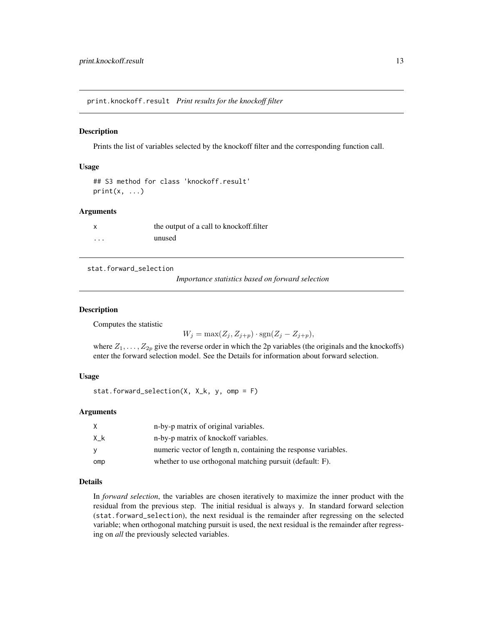<span id="page-12-0"></span>print.knockoff.result *Print results for the knockoff filter*

#### Description

Prints the list of variables selected by the knockoff filter and the corresponding function call.

#### Usage

```
## S3 method for class 'knockoff.result'
print(x, \ldots)
```
#### Arguments

| $\boldsymbol{\mathsf{x}}$ | the output of a call to knockoff.filter |
|---------------------------|-----------------------------------------|
| $\cdots$                  | unused                                  |

<span id="page-12-1"></span>stat.forward\_selection

*Importance statistics based on forward selection*

#### Description

Computes the statistic

 $W_j = \max(Z_j, Z_{j+p}) \cdot \text{sgn}(Z_j - Z_{j+p}),$ 

where  $Z_1, \ldots, Z_{2p}$  give the reverse order in which the 2p variables (the originals and the knockoffs) enter the forward selection model. See the Details for information about forward selection.

#### Usage

```
stat.forward_selection(X, X_k, y, omp = F)
```
#### Arguments

| X   | n-by-p matrix of original variables.                           |
|-----|----------------------------------------------------------------|
| Хk  | n-by-p matrix of knockoff variables.                           |
| v   | numeric vector of length n, containing the response variables. |
| omp | whether to use orthogonal matching pursuit (default: F).       |

#### Details

In *forward selection*, the variables are chosen iteratively to maximize the inner product with the residual from the previous step. The initial residual is always y. In standard forward selection (stat.forward\_selection), the next residual is the remainder after regressing on the selected variable; when orthogonal matching pursuit is used, the next residual is the remainder after regressing on *all* the previously selected variables.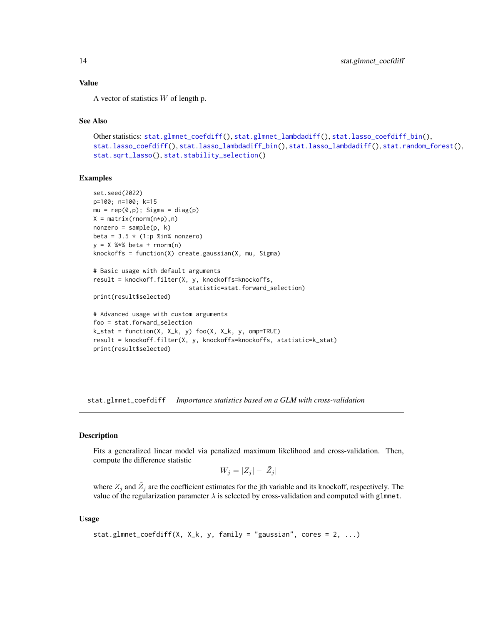#### Value

A vector of statistics  $W$  of length p.

#### See Also

```
Other statistics: stat.glmnet_coefdiff(), stat.glmnet_lambdadiff(), stat.lasso_coefdiff_bin(),
stat.lasso_coefdiff(), stat.lasso_lambdadiff_bin(), stat.lasso_lambdadiff(), stat.random_forest(),
stat.sqrt_lasso(), stat.stability_selection()
```
#### Examples

```
set.seed(2022)
p=100; n=100; k=15
mu = rep(0,p); Sigma = diag(p)
X = matrix(rnorm(n*p), n)nonzero = sample(p, k)beta = 3.5 \times (1:p %in% = 0.00000)y = X %*% beta + rnorm(n)
knockoffs = function(X) create.gaussian(X, mu, Sigma)
```

```
# Basic usage with default arguments
result = knockoff.filter(X, y, knockoffs=knockoffs,
                           statistic=stat.forward_selection)
```

```
print(result$selected)
```

```
# Advanced usage with custom arguments
foo = stat.forward_selection
k_{s} = function(X, X_k, y) foo(X, X_k, y, omp=TRUE)
result = knockoff.filter(X, y, knockoffs=knockoffs, statistic=k_stat)
print(result$selected)
```
<span id="page-13-1"></span>stat.glmnet\_coefdiff *Importance statistics based on a GLM with cross-validation*

#### Description

Fits a generalized linear model via penalized maximum likelihood and cross-validation. Then, compute the difference statistic

 $W_j = |Z_j| - |\tilde{Z}_j|$ 

where  $Z_j$  and  $\tilde{Z}_j$  are the coefficient estimates for the jth variable and its knockoff, respectively. The value of the regularization parameter  $\lambda$  is selected by cross-validation and computed with glmnet.

#### Usage

```
stat.glmnet_coefdiff(X, X_k, y, family = "gaussian", cores = 2, ...)
```
<span id="page-13-0"></span>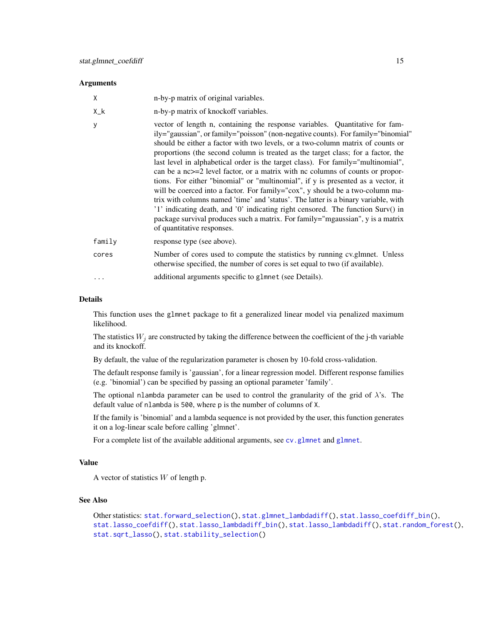#### <span id="page-14-0"></span>**Arguments**

| X           | n-by-p matrix of original variables.                                                                                                                                                                                                                                                                                                                                                                                                                                                                                                                                                                                                                                                                                                                                                                                                                                                                                                                                      |
|-------------|---------------------------------------------------------------------------------------------------------------------------------------------------------------------------------------------------------------------------------------------------------------------------------------------------------------------------------------------------------------------------------------------------------------------------------------------------------------------------------------------------------------------------------------------------------------------------------------------------------------------------------------------------------------------------------------------------------------------------------------------------------------------------------------------------------------------------------------------------------------------------------------------------------------------------------------------------------------------------|
| $X_{-}$ $k$ | n-by-p matrix of knockoff variables.                                                                                                                                                                                                                                                                                                                                                                                                                                                                                                                                                                                                                                                                                                                                                                                                                                                                                                                                      |
| y           | vector of length n, containing the response variables. Quantitative for fam-<br>ily="gaussian", or family="poisson" (non-negative counts). For family="binomial"<br>should be either a factor with two levels, or a two-column matrix of counts or<br>proportions (the second column is treated as the target class; for a factor, the<br>last level in alphabetical order is the target class). For family="multinomial",<br>can be a nc>=2 level factor, or a matrix with nc columns of counts or propor-<br>tions. For either "binomial" or "multinomial", if y is presented as a vector, it<br>will be coerced into a factor. For family="cox", y should be a two-column ma-<br>trix with columns named 'time' and 'status'. The latter is a binary variable, with<br>'1' indicating death, and '0' indicating right censored. The function Surv() in<br>package survival produces such a matrix. For family="mgaussian", y is a matrix<br>of quantitative responses. |
| family      | response type (see above).                                                                                                                                                                                                                                                                                                                                                                                                                                                                                                                                                                                                                                                                                                                                                                                                                                                                                                                                                |
| cores       | Number of cores used to compute the statistics by running cv.glmnet. Unless<br>otherwise specified, the number of cores is set equal to two (if available).                                                                                                                                                                                                                                                                                                                                                                                                                                                                                                                                                                                                                                                                                                                                                                                                               |
| $\cdots$    | additional arguments specific to glmnet (see Details).                                                                                                                                                                                                                                                                                                                                                                                                                                                                                                                                                                                                                                                                                                                                                                                                                                                                                                                    |

#### Details

This function uses the glmnet package to fit a generalized linear model via penalized maximum likelihood.

The statistics  $W_j$  are constructed by taking the difference between the coefficient of the j-th variable and its knockoff.

By default, the value of the regularization parameter is chosen by 10-fold cross-validation.

The default response family is 'gaussian', for a linear regression model. Different response families (e.g. 'binomial') can be specified by passing an optional parameter 'family'.

The optional nlambda parameter can be used to control the granularity of the grid of  $\lambda$ 's. The default value of nlambda is 500, where p is the number of columns of X.

If the family is 'binomial' and a lambda sequence is not provided by the user, this function generates it on a log-linear scale before calling 'glmnet'.

For a complete list of the available additional arguments, see [cv.glmnet](#page-0-0) and [glmnet](#page-0-0).

#### Value

A vector of statistics  $W$  of length p.

#### See Also

```
Other statistics: stat.forward_selection(), stat.glmnet_lambdadiff(), stat.lasso_coefdiff_bin(),
stat.lasso_coefdiff(), stat.lasso_lambdadiff_bin(), stat.lasso_lambdadiff(), stat.random_forest(),
stat.sqrt_lasso(), stat.stability_selection()
```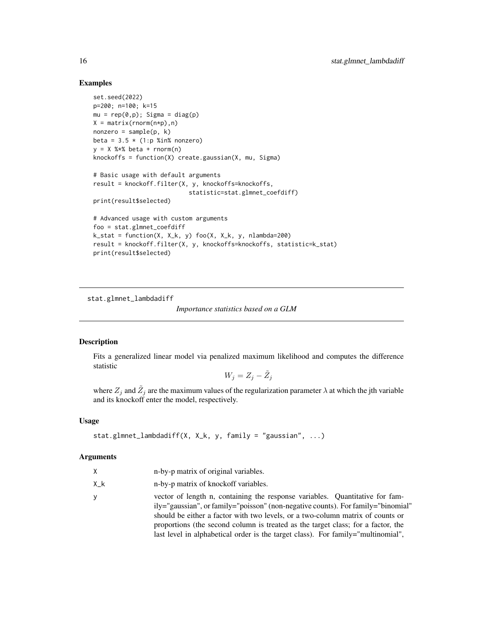#### Examples

```
set.seed(2022)
p=200; n=100; k=15
mu = rep(0,p); Sigma = diag(p)
X = matrix(rnorm(n*p), n)nonzero = sample(p, k)
beta = 3.5 \times (1:p %in% = 0.0000)y = X %*% beta + rnorm(n)
knockoffs = function(X) create.gaussian(X, mu, Sigma)
# Basic usage with default arguments
result = knockoff.filter(X, y, knockoffs=knockoffs,
                           statistic=stat.glmnet_coefdiff)
print(result$selected)
# Advanced usage with custom arguments
foo = stat.glmnet_coefdiff
k_{stat} = function(X, X_k, y) foo(X, X_k, y) nlambda=200)
result = knockoff.filter(X, y, knockoffs=knockoffs, statistic=k_stat)
```
print(result\$selected)

<span id="page-15-1"></span>stat.glmnet\_lambdadiff

*Importance statistics based on a GLM*

#### Description

Fits a generalized linear model via penalized maximum likelihood and computes the difference statistic

$$
W_j = Z_j - \tilde{Z}_j
$$

where  $Z_j$  and  $\tilde{Z}_j$  are the maximum values of the regularization parameter  $\lambda$  at which the jth variable and its knockoff enter the model, respectively.

#### Usage

```
stat.glmnet_lambdadiff(X, X_k, y, family = "gaussian", ...)
```
#### Arguments

| X         | n-by-p matrix of original variables.                                                                                                                                                                                                                                                                                                                                                                                       |
|-----------|----------------------------------------------------------------------------------------------------------------------------------------------------------------------------------------------------------------------------------------------------------------------------------------------------------------------------------------------------------------------------------------------------------------------------|
| $X_{-}$ k | n-by-p matrix of knockoff variables.                                                                                                                                                                                                                                                                                                                                                                                       |
| У         | vector of length n, containing the response variables. Quantitative for fam-<br>ily="gaussian", or family="poisson" (non-negative counts). For family="binomial"<br>should be either a factor with two levels, or a two-column matrix of counts or<br>proportions (the second column is treated as the target class; for a factor, the<br>last level in alphabetical order is the target class). For family="multinomial", |

<span id="page-15-0"></span>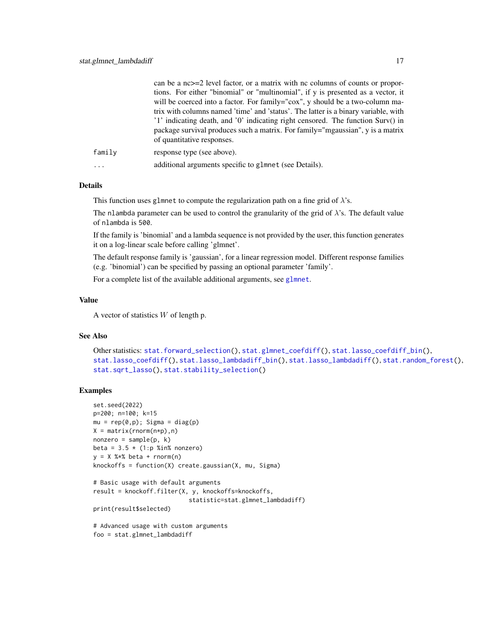<span id="page-16-0"></span>

|        | can be a $nc>=2$ level factor, or a matrix with nc columns of counts or propor-    |
|--------|------------------------------------------------------------------------------------|
|        | tions. For either "binomial" or "multinomial", if y is presented as a vector, it   |
|        | will be coerced into a factor. For family="cox", y should be a two-column ma-      |
|        | trix with columns named 'time' and 'status'. The latter is a binary variable, with |
|        | '1' indicating death, and '0' indicating right censored. The function Surv() in    |
|        | package survival produces such a matrix. For family="mgaussian", y is a matrix     |
|        | of quantitative responses.                                                         |
| family | response type (see above).                                                         |
| .      | additional arguments specific to glmnet (see Details).                             |

#### Details

This function uses glmnet to compute the regularization path on a fine grid of  $\lambda$ 's.

The nlambda parameter can be used to control the granularity of the grid of  $\lambda$ 's. The default value of nlambda is 500.

If the family is 'binomial' and a lambda sequence is not provided by the user, this function generates it on a log-linear scale before calling 'glmnet'.

The default response family is 'gaussian', for a linear regression model. Different response families (e.g. 'binomial') can be specified by passing an optional parameter 'family'.

For a complete list of the available additional arguments, see [glmnet](#page-0-0).

#### Value

A vector of statistics  $W$  of length p.

#### See Also

```
Other statistics: stat.forward_selection(), stat.glmnet_coefdiff(), stat.lasso_coefdiff_bin(),
stat.lasso_coefdiff(), stat.lasso_lambdadiff_bin(), stat.lasso_lambdadiff(), stat.random_forest(),
stat.sqrt_lasso(), stat.stability_selection()
```
#### Examples

```
set.seed(2022)
p=200; n=100; k=15
mu = rep(0,p); Sigma = diag(p)
X = matrix(rnorm(n*p), n)nonzero = sample(p, k)beta = 3.5 \times (1:p %in% nonzero)y = X %*% beta + rnorm(n)
knockoffs = function(X) create.gaussian(X, mu, Sigma)
# Basic usage with default arguments
result = knockoff.filter(X, y, knockoffs=knockoffs,
                           statistic=stat.glmnet_lambdadiff)
print(result$selected)
# Advanced usage with custom arguments
foo = stat.glmnet_lambdadiff
```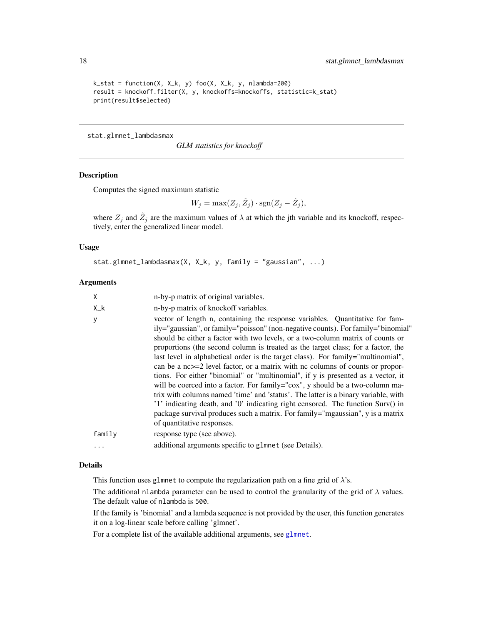```
k_{\text{1}} = function(X, X_k, y) foo(X, X_k, y, nlambda=200)
result = knockoff.filter(X, y, knockoffs=knockoffs, statistic=k_stat)
print(result$selected)
```
stat.glmnet\_lambdasmax

*GLM statistics for knockoff*

#### Description

Computes the signed maximum statistic

$$
W_j = \max(Z_j, \tilde{Z}_j) \cdot \text{sgn}(Z_j - \tilde{Z}_j),
$$

where  $Z_j$  and  $\tilde{Z}_j$  are the maximum values of  $\lambda$  at which the jth variable and its knockoff, respectively, enter the generalized linear model.

#### Usage

```
stat.glmnet_lambdasmax(X, X_k, y, family = "gaussian", ...)
```
#### Arguments

| X           | n-by-p matrix of original variables.                                                                                                                                                                                                                                                                                                                                                                                                                                                                                                                                                                                                                                                                                                                                                                                                                                                                                                                                        |
|-------------|-----------------------------------------------------------------------------------------------------------------------------------------------------------------------------------------------------------------------------------------------------------------------------------------------------------------------------------------------------------------------------------------------------------------------------------------------------------------------------------------------------------------------------------------------------------------------------------------------------------------------------------------------------------------------------------------------------------------------------------------------------------------------------------------------------------------------------------------------------------------------------------------------------------------------------------------------------------------------------|
| $X_{-}$ $k$ | n-by-p matrix of knockoff variables.                                                                                                                                                                                                                                                                                                                                                                                                                                                                                                                                                                                                                                                                                                                                                                                                                                                                                                                                        |
| y           | vector of length n, containing the response variables. Quantitative for fam-<br>ily="gaussian", or family="poisson" (non-negative counts). For family="binomial"<br>should be either a factor with two levels, or a two-column matrix of counts or<br>proportions (the second column is treated as the target class; for a factor, the<br>last level in alphabetical order is the target class). For family="multinomial",<br>can be a $nc>=2$ level factor, or a matrix with nc columns of counts or propor-<br>tions. For either "binomial" or "multinomial", if y is presented as a vector, it<br>will be coerced into a factor. For family="cox", y should be a two-column ma-<br>trix with columns named 'time' and 'status'. The latter is a binary variable, with<br>'1' indicating death, and '0' indicating right censored. The function Surv() in<br>package survival produces such a matrix. For family="mgaussian", y is a matrix<br>of quantitative responses. |
| family      | response type (see above).                                                                                                                                                                                                                                                                                                                                                                                                                                                                                                                                                                                                                                                                                                                                                                                                                                                                                                                                                  |
| .           | additional arguments specific to glmnet (see Details).                                                                                                                                                                                                                                                                                                                                                                                                                                                                                                                                                                                                                                                                                                                                                                                                                                                                                                                      |

#### Details

This function uses glmnet to compute the regularization path on a fine grid of  $\lambda$ 's.

The additional nlambda parameter can be used to control the granularity of the grid of  $\lambda$  values. The default value of nlambda is 500.

If the family is 'binomial' and a lambda sequence is not provided by the user, this function generates it on a log-linear scale before calling 'glmnet'.

For a complete list of the available additional arguments, see [glmnet](#page-0-0).

<span id="page-17-0"></span>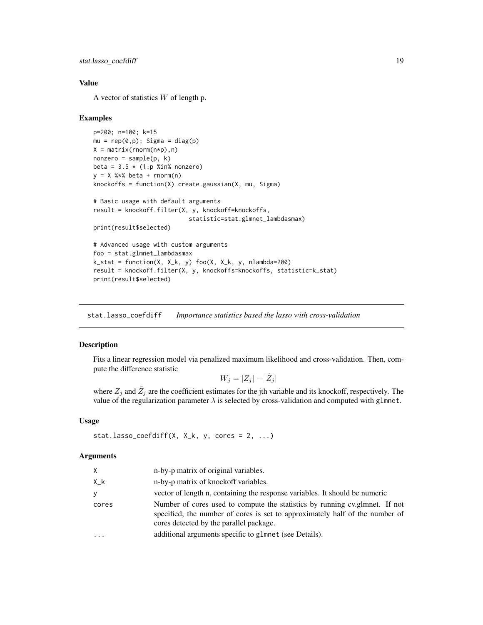```
stat.lasso_coefdiff 19
```
#### Value

A vector of statistics  $W$  of length p.

#### Examples

```
p=200; n=100; k=15
mu = rep(0,p); Sigma = diag(p)
X = matrix(rnorm(n*p), n)nonzero = sample(p, k)beta = 3.5 \times (1:p %in% = 0.00000)y = X %*% beta + rnorm(n)
knockoffs = function(X) create.gaussian(X, mu, Sigma)
# Basic usage with default arguments
result = knockoff.filter(X, y, knockoff=knockoffs,
                            statistic=stat.glmnet_lambdasmax)
print(result$selected)
# Advanced usage with custom arguments
foo = stat.glmnet_lambdasmax
k_{\text{1}} = function(X, X_k, y) foo(X, X_k, y, nlambda=200)
result = knockoff.filter(X, y, knockoffs=knockoffs, statistic=k_stat)
print(result$selected)
```
<span id="page-18-1"></span>stat.lasso\_coefdiff *Importance statistics based the lasso with cross-validation*

#### Description

Fits a linear regression model via penalized maximum likelihood and cross-validation. Then, compute the difference statistic

 $W_j = |Z_j| - |\tilde{Z}_j|$ 

where  $Z_j$  and  $\tilde{Z}_j$  are the coefficient estimates for the jth variable and its knockoff, respectively. The value of the regularization parameter  $\lambda$  is selected by cross-validation and computed with glmnet.

#### Usage

```
stat.lasso_coefdiff(X, X_k, y, cores = 2, ...)
```
#### Arguments

| X.          | n-by-p matrix of original variables.                                                                                                                                                                   |
|-------------|--------------------------------------------------------------------------------------------------------------------------------------------------------------------------------------------------------|
| $X_{-}$ $k$ | n-by-p matrix of knockoff variables.                                                                                                                                                                   |
| y           | vector of length n, containing the response variables. It should be numeric                                                                                                                            |
| cores       | Number of cores used to compute the statistics by running cv.glmnet. If not<br>specified, the number of cores is set to approximately half of the number of<br>cores detected by the parallel package. |
| $\ddotsc$   | additional arguments specific to glmnet (see Details).                                                                                                                                                 |
|             |                                                                                                                                                                                                        |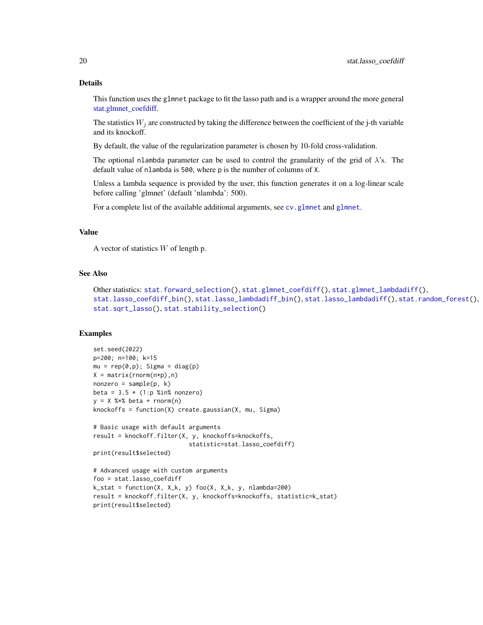#### Details

This function uses the glmnet package to fit the lasso path and is a wrapper around the more general [stat.glmnet\\_coefdiff.](#page-13-1)

The statistics  $W_i$  are constructed by taking the difference between the coefficient of the j-th variable and its knockoff.

By default, the value of the regularization parameter is chosen by 10-fold cross-validation.

The optional nlambda parameter can be used to control the granularity of the grid of  $\lambda$ 's. The default value of nlambda is 500, where p is the number of columns of X.

Unless a lambda sequence is provided by the user, this function generates it on a log-linear scale before calling 'glmnet' (default 'nlambda': 500).

For a complete list of the available additional arguments, see cv. [glmnet](#page-0-0) and glmnet.

#### Value

A vector of statistics  $W$  of length p.

#### See Also

```
Other statistics: stat.forward_selection(), stat.glmnet_coefdiff(), stat.glmnet_lambdadiff(),
stat.lasso_coefdiff_bin(), stat.lasso_lambdadiff_bin(), stat.lasso_lambdadiff(), stat.random_forest(),
stat.sqrt_lasso(), stat.stability_selection()
```
#### Examples

```
set.seed(2022)
p=200; n=100; k=15
mu = rep(0,p); Sigma = diag(p)
X = matrix(rnorm(n*p), n)nonzero = sample(p, k)beta = 3.5 * (1:p %in% nonzero)y = X %*% beta + rnorm(n)
knockoffs = function(X) create.gaussian(X, mu, Sigma)
# Basic usage with default arguments
result = knockoff.filter(X, y, knockoffs=knockoffs,
                           statistic=stat.lasso_coefdiff)
print(result$selected)
# Advanced usage with custom arguments
foo = stat.lasso_coefdiff
k_stat = function(X, X_k, y) foo(X, X_k, y, nlambda=200)
result = knockoff.filter(X, y, knockoffs=knockoffs, statistic=k_stat)
print(result$selected)
```
<span id="page-19-0"></span>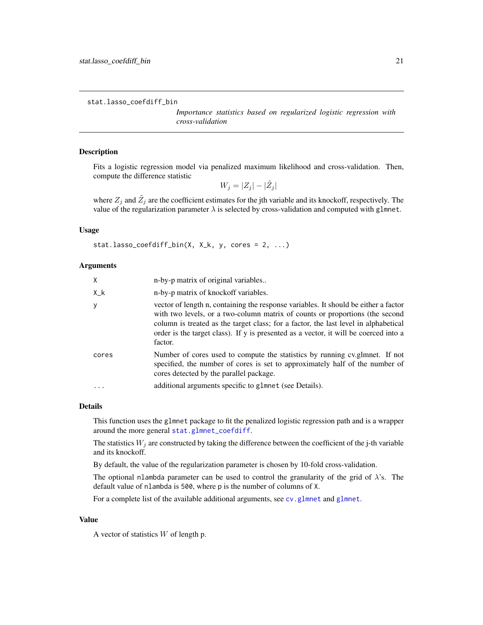<span id="page-20-1"></span><span id="page-20-0"></span>stat.lasso\_coefdiff\_bin

*Importance statistics based on regularized logistic regression with cross-validation*

#### **Description**

Fits a logistic regression model via penalized maximum likelihood and cross-validation. Then, compute the difference statistic

 $W_j = |Z_j| - |\tilde{Z}_j|$ 

where  $Z_j$  and  $\tilde{Z}_j$  are the coefficient estimates for the jth variable and its knockoff, respectively. The value of the regularization parameter  $\lambda$  is selected by cross-validation and computed with glmnet.

#### Usage

```
stat.lasso_coefdiff_bin(X, X_k, y, cores = 2, ...)
```
#### Arguments

| $\mathsf{x}$ | n-by-p matrix of original variables                                                                                                                                                                                                                                                                                                                           |
|--------------|---------------------------------------------------------------------------------------------------------------------------------------------------------------------------------------------------------------------------------------------------------------------------------------------------------------------------------------------------------------|
| X_k          | n-by-p matrix of knockoff variables.                                                                                                                                                                                                                                                                                                                          |
| <sub>y</sub> | vector of length n, containing the response variables. It should be either a factor<br>with two levels, or a two-column matrix of counts or proportions (the second<br>column is treated as the target class; for a factor, the last level in alphabetical<br>order is the target class). If y is presented as a vector, it will be coerced into a<br>factor. |
| cores        | Number of cores used to compute the statistics by running cv.glmnet. If not<br>specified, the number of cores is set to approximately half of the number of<br>cores detected by the parallel package.                                                                                                                                                        |
|              | additional arguments specific to glmnet (see Details).                                                                                                                                                                                                                                                                                                        |
|              |                                                                                                                                                                                                                                                                                                                                                               |

#### Details

This function uses the glmnet package to fit the penalized logistic regression path and is a wrapper around the more general [stat.glmnet\\_coefdiff](#page-13-1).

The statistics  $W_j$  are constructed by taking the difference between the coefficient of the j-th variable and its knockoff.

By default, the value of the regularization parameter is chosen by 10-fold cross-validation.

The optional nlambda parameter can be used to control the granularity of the grid of  $\lambda$ 's. The default value of nlambda is 500, where p is the number of columns of X.

For a complete list of the available additional arguments, see [cv.glmnet](#page-0-0) and [glmnet](#page-0-0).

#### Value

A vector of statistics  $W$  of length p.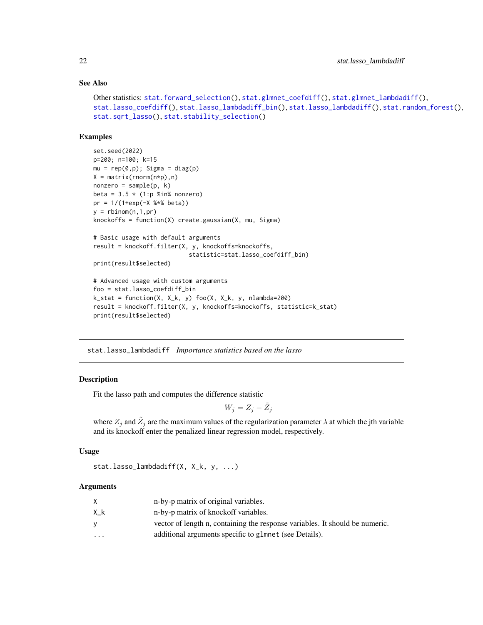#### See Also

```
Other statistics: stat.forward_selection(), stat.glmnet_coefdiff(), stat.glmnet_lambdadiff(),
stat.lasso_coefdiff(), stat.lasso_lambdadiff_bin(), stat.lasso_lambdadiff(), stat.random_forest(),
stat.sqrt_lasso(), stat.stability_selection()
```
#### Examples

```
set.seed(2022)
p=200; n=100; k=15
mu = rep(0,p); Sigma = diag(p)
X = matrix(rnorm(n*p), n)nonzero = sample(p, k)beta = 3.5 \times (1:p %in% = 0.00000)pr = 1/(1+exp(-X %*% beta))
y = rbinom(n, 1, pr)knockoffs = function(X) create.gaussian(X, mu, Sigma)
# Basic usage with default arguments
result = knockoff.filter(X, y, knockoffs=knockoffs,
                           statistic=stat.lasso_coefdiff_bin)
print(result$selected)
# Advanced usage with custom arguments
foo = stat.lasso_coefdiff_bin
k_{stat} = function(X, X_k, y) foo(X, X_k, y, nlambda=200)result = knockoff.filter(X, y, knockoffs=knockoffs, statistic=k_stat)
print(result$selected)
```
<span id="page-21-1"></span>stat.lasso\_lambdadiff *Importance statistics based on the lasso*

#### **Description**

Fit the lasso path and computes the difference statistic

$$
W_j = Z_j - \tilde{Z}_j
$$

where  $Z_j$  and  $\tilde{Z}_j$  are the maximum values of the regularization parameter  $\lambda$  at which the jth variable and its knockoff enter the penalized linear regression model, respectively.

#### Usage

stat.lasso\_lambdadiff(X, X\_k, y, ...)

#### Arguments

|                         | n-by-p matrix of original variables.                                         |
|-------------------------|------------------------------------------------------------------------------|
| Χk                      | n-by-p matrix of knockoff variables.                                         |
| v                       | vector of length n, containing the response variables. It should be numeric. |
| $\cdot$ $\cdot$ $\cdot$ | additional arguments specific to glmnet (see Details).                       |

<span id="page-21-0"></span>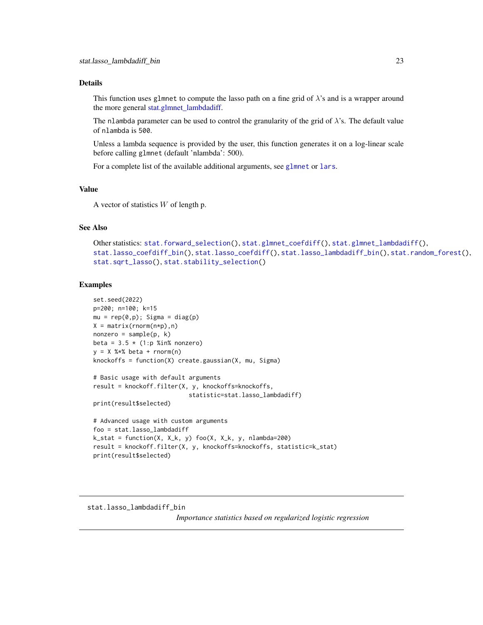#### <span id="page-22-0"></span>Details

This function uses glmnet to compute the lasso path on a fine grid of  $\lambda$ 's and is a wrapper around the more general [stat.glmnet\\_lambdadiff.](#page-15-1)

The nlambda parameter can be used to control the granularity of the grid of  $\lambda$ 's. The default value of nlambda is 500.

Unless a lambda sequence is provided by the user, this function generates it on a log-linear scale before calling glmnet (default 'nlambda': 500).

For a complete list of the available additional arguments, see [glmnet](#page-0-0) or [lars](#page-0-0).

#### Value

A vector of statistics  $W$  of length p.

#### See Also

```
Other statistics: stat.forward_selection(), stat.glmnet_coefdiff(), stat.glmnet_lambdadiff(),
stat.lasso_coefdiff_bin(), stat.lasso_coefdiff(), stat.lasso_lambdadiff_bin(), stat.random_forest(),
stat.sqrt_lasso(), stat.stability_selection()
```
#### Examples

```
set.seed(2022)
p=200; n=100; k=15
mu = rep(0,p); Sigma = diag(p)
X = matrix(rnorm(n*p),n)nonzero = sample(p, k)beta = 3.5 * (1:p %in% nonzero)y = X %*% beta + rnorm(n)
knockoffs = function(X) create.gaussian(X, mu, Sigma)
# Basic usage with default arguments
result = knockoff.filter(X, y, knockoffs=knockoffs,
                           statistic=stat.lasso_lambdadiff)
print(result$selected)
# Advanced usage with custom arguments
foo = stat.lasso_lambdadiff
k_stat = function(X, X_k, y) foo(X, X_k, y, nlambda=200)
result = knockoff.filter(X, y, knockoffs=knockoffs, statistic=k_stat)
print(result$selected)
```
#### <span id="page-22-1"></span>stat.lasso\_lambdadiff\_bin

*Importance statistics based on regularized logistic regression*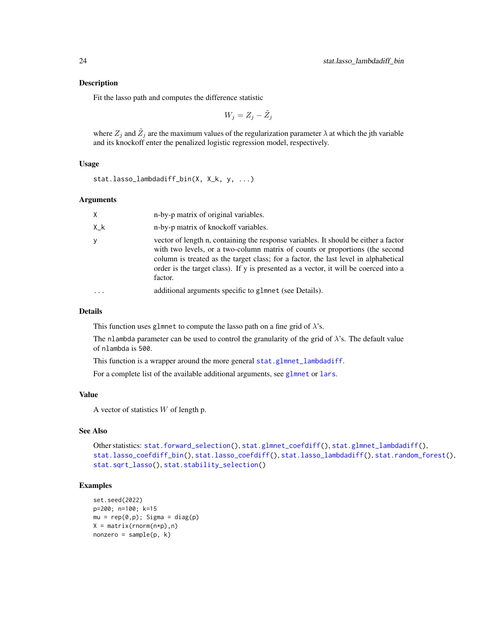#### <span id="page-23-0"></span>Description

Fit the lasso path and computes the difference statistic

$$
W_j = Z_j - \tilde{Z}_j
$$

where  $Z_j$  and  $\tilde{Z}_j$  are the maximum values of the regularization parameter  $\lambda$  at which the jth variable and its knockoff enter the penalized logistic regression model, respectively.

#### Usage

```
stat.lasso_lambdadiff_bin(X, X_k, y, ...)
```
#### Arguments

| X         | n-by-p matrix of original variables.                                                                                                                                                                                                                                                                                                                          |
|-----------|---------------------------------------------------------------------------------------------------------------------------------------------------------------------------------------------------------------------------------------------------------------------------------------------------------------------------------------------------------------|
| $X_{-}$ k | n-by-p matrix of knockoff variables.                                                                                                                                                                                                                                                                                                                          |
| y         | vector of length n, containing the response variables. It should be either a factor<br>with two levels, or a two-column matrix of counts or proportions (the second<br>column is treated as the target class; for a factor, the last level in alphabetical<br>order is the target class). If y is presented as a vector, it will be coerced into a<br>factor. |
|           | additional arguments specific to glmnet (see Details).                                                                                                                                                                                                                                                                                                        |

#### Details

This function uses glmnet to compute the lasso path on a fine grid of  $\lambda$ 's.

The nlambda parameter can be used to control the granularity of the grid of  $\lambda$ 's. The default value of nlambda is 500.

This function is a wrapper around the more general [stat.glmnet\\_lambdadiff](#page-15-1).

For a complete list of the available additional arguments, see [glmnet](#page-0-0) or [lars](#page-0-0).

#### Value

A vector of statistics W of length p.

#### See Also

```
Other statistics: stat.forward_selection(), stat.glmnet_coefdiff(), stat.glmnet_lambdadiff(),
stat.lasso_coefdiff_bin(), stat.lasso_coefdiff(), stat.lasso_lambdadiff(), stat.random_forest(),
stat.sqrt_lasso(), stat.stability_selection()
```
#### Examples

```
set.seed(2022)
p=200; n=100; k=15
mu = rep(0,p); Sigma = diag(p)
X = matrix(rnorm(n*p), n)nonzero = sample(p, k)
```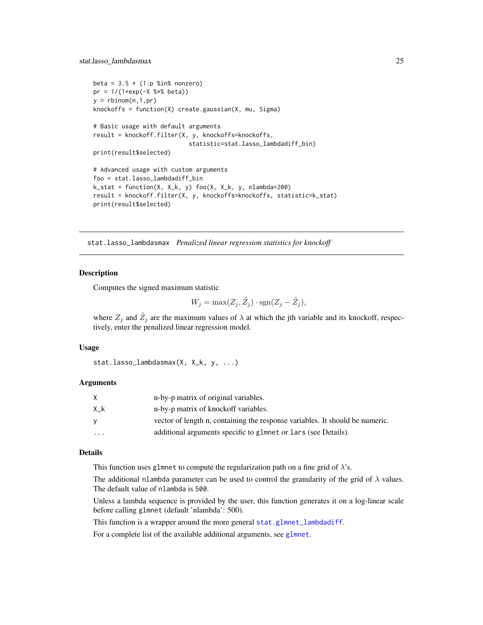```
beta = 3.5 \times (1:p %in% = 0.00000)pr = 1/(1+exp(-X %<i>x</i>% beta))y = rbinom(n, 1, pr)knockoffs = function(X) create.gaussian(X, mu, Sigma)
# Basic usage with default arguments
result = knockoff.filter(X, y, knockoffs=knockoffs,
                            statistic=stat.lasso_lambdadiff_bin)
print(result$selected)
# Advanced usage with custom arguments
foo = stat.lasso_lambdadiff_bin
k_{s} = function(X, X_k, y) foo(X, X_k, y, nlambda=200)
result = knockoff.filter(X, y, knockoffs=knockoffs, statistic=k_stat)
print(result$selected)
```
stat.lasso\_lambdasmax *Penalized linear regression statistics for knockoff*

#### Description

Computes the signed maximum statistic

$$
W_j = \max(Z_j, \tilde{Z}_j) \cdot \text{sgn}(Z_j - \tilde{Z}_j),
$$

where  $Z_j$  and  $\tilde{Z}_j$  are the maximum values of  $\lambda$  at which the jth variable and its knockoff, respectively, enter the penalized linear regression model.

#### Usage

stat.lasso\_lambdasmax(X, X\_k, y, ...)

#### Arguments

| X   | n-by-p matrix of original variables.                                         |
|-----|------------------------------------------------------------------------------|
| X k | n-by-p matrix of knockoff variables.                                         |
| V   | vector of length n, containing the response variables. It should be numeric. |
| .   | additional arguments specific to glmnet or lars (see Details).               |

#### Details

This function uses glmnet to compute the regularization path on a fine grid of  $\lambda$ 's.

The additional nlambda parameter can be used to control the granularity of the grid of  $\lambda$  values. The default value of nlambda is 500.

Unless a lambda sequence is provided by the user, this function generates it on a log-linear scale before calling glmnet (default 'nlambda': 500).

This function is a wrapper around the more general [stat.glmnet\\_lambdadiff](#page-15-1).

For a complete list of the available additional arguments, see [glmnet](#page-0-0).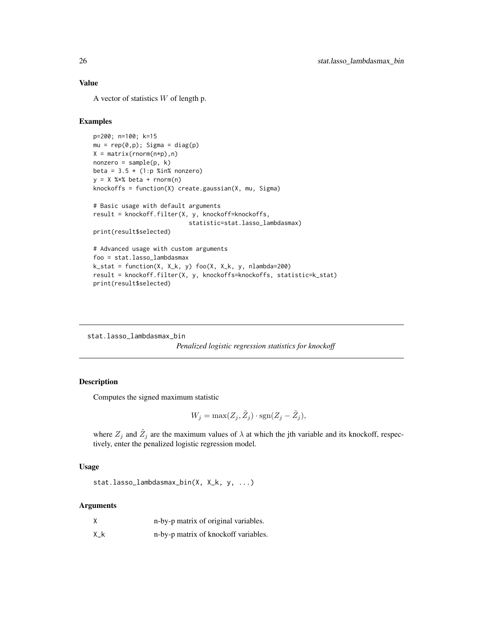#### <span id="page-25-0"></span>Value

A vector of statistics  $W$  of length p.

#### Examples

```
p=200; n=100; k=15
mu = rep(0,p); Sigma = diag(p)
X = matrix(rnorm(n*p), n)nonzero = sample(p, k)beta = 3.5 \times (1:p %in% nonzero)y = X %*% beta + rnorm(n)
knockoffs = function(X) create.gaussian(X, mu, Sigma)
# Basic usage with default arguments
result = knockoff.filter(X, y, knockoff=knockoffs,
                           statistic=stat.lasso_lambdasmax)
print(result$selected)
# Advanced usage with custom arguments
foo = stat.lasso_lambdasmax
k_{s} = function(X, X_k, y) foo(X, X_k, y, nlambda=200)
result = knockoff.filter(X, y, knockoffs=knockoffs, statistic=k_stat)
print(result$selected)
```
stat.lasso\_lambdasmax\_bin *Penalized logistic regression statistics for knockoff*

#### Description

Computes the signed maximum statistic

$$
W_j = \max(Z_j, \tilde{Z}_j) \cdot \text{sgn}(Z_j - \tilde{Z}_j),
$$

where  $Z_j$  and  $\tilde{Z}_j$  are the maximum values of  $\lambda$  at which the jth variable and its knockoff, respectively, enter the penalized logistic regression model.

#### Usage

stat.lasso\_lambdasmax\_bin(X, X\_k, y, ...)

#### Arguments

| X         | n-by-p matrix of original variables. |
|-----------|--------------------------------------|
| $X_{-}$ k | n-by-p matrix of knockoff variables. |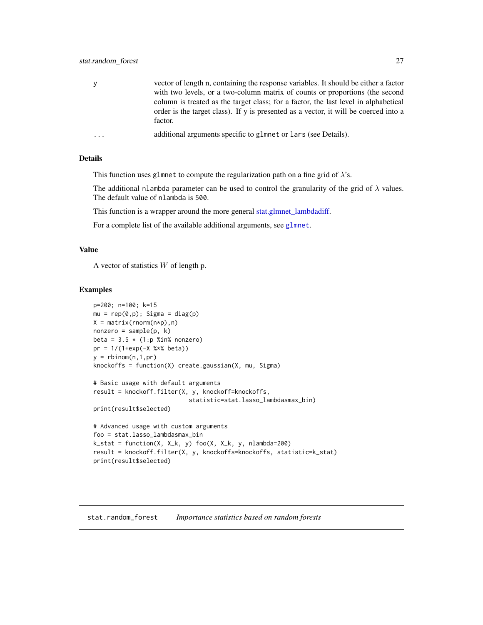<span id="page-26-0"></span>

| <b>V</b> | vector of length n, containing the response variables. It should be either a factor<br>with two levels, or a two-column matrix of counts or proportions (the second<br>column is treated as the target class; for a factor, the last level in alphabetical<br>order is the target class). If y is presented as a vector, it will be coerced into a<br>factor. |
|----------|---------------------------------------------------------------------------------------------------------------------------------------------------------------------------------------------------------------------------------------------------------------------------------------------------------------------------------------------------------------|
| $\cdots$ | additional arguments specific to glmnet or lars (see Details).                                                                                                                                                                                                                                                                                                |

#### Details

This function uses glmnet to compute the regularization path on a fine grid of  $\lambda$ 's.

The additional nlambda parameter can be used to control the granularity of the grid of  $\lambda$  values. The default value of nlambda is 500.

This function is a wrapper around the more general [stat.glmnet\\_lambdadiff.](#page-15-1)

For a complete list of the available additional arguments, see [glmnet](#page-0-0).

#### Value

A vector of statistics  $W$  of length p.

#### Examples

```
p=200; n=100; k=15
mu = rep(0,p); Sigma = diag(p)
X = matrix(rnorm(n*p), n)nonzero = sample(p, k)beta = 3.5 \times (1:p %in% = 0.00000)pr = 1/(1+exp(-X %<i>x</i>% beta))y = rbinom(n, 1, pr)knockoffs = function(X) create.gaussian(X, mu, Sigma)
# Basic usage with default arguments
result = knockoff.filter(X, y, knockoff=knockoffs,
                           statistic=stat.lasso_lambdasmax_bin)
print(result$selected)
# Advanced usage with custom arguments
foo = stat.lasso_lambdasmax_bin
k_{s} = function(X, X_k, y) foo(X, X_k, y, nlambda=200)
```
result = knockoff.filter(X, y, knockoffs=knockoffs, statistic=k\_stat) print(result\$selected)

#### <span id="page-26-1"></span>stat.random\_forest *Importance statistics based on random forests*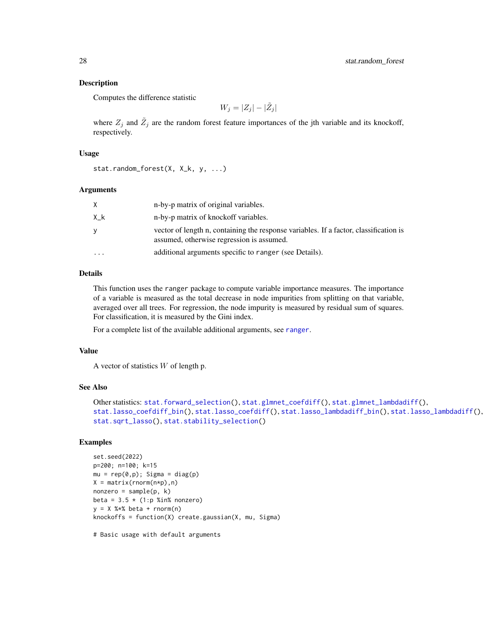#### <span id="page-27-0"></span>Description

Computes the difference statistic

$$
W_j = |Z_j| - |\tilde{Z}_j|
$$

where  $Z_j$  and  $\tilde{Z}_j$  are the random forest feature importances of the jth variable and its knockoff, respectively.

#### Usage

```
stat.random_forest(X, X_k, y, ...)
```
#### Arguments

| X        | n-by-p matrix of original variables.                                                                                               |
|----------|------------------------------------------------------------------------------------------------------------------------------------|
| X k      | n-by-p matrix of knockoff variables.                                                                                               |
| y        | vector of length n, containing the response variables. If a factor, classification is<br>assumed, otherwise regression is assumed. |
| $\cdots$ | additional arguments specific to ranger (see Details).                                                                             |

#### Details

This function uses the ranger package to compute variable importance measures. The importance of a variable is measured as the total decrease in node impurities from splitting on that variable, averaged over all trees. For regression, the node impurity is measured by residual sum of squares. For classification, it is measured by the Gini index.

For a complete list of the available additional arguments, see [ranger](#page-0-0).

#### Value

A vector of statistics  $W$  of length p.

#### See Also

```
Other statistics: stat.forward_selection(), stat.glmnet_coefdiff(), stat.glmnet_lambdadiff(),
stat.lasso_coefdiff_bin(), stat.lasso_coefdiff(), stat.lasso_lambdadiff_bin(), stat.lasso_lambdadiff(),
stat.sqrt_lasso(), stat.stability_selection()
```
#### Examples

```
set.seed(2022)
p=200; n=100; k=15
mu = rep(0,p); Sigma = diag(p)
X = matrix(rnorm(n*p), n)nonzero = sample(p, k)beta = 3.5 \times (1:p %in% = 0.00000)y = X %*% beta + rnorm(n)
knockoffs = function(X) create.gaussian(X, mu, Sigma)
```
# Basic usage with default arguments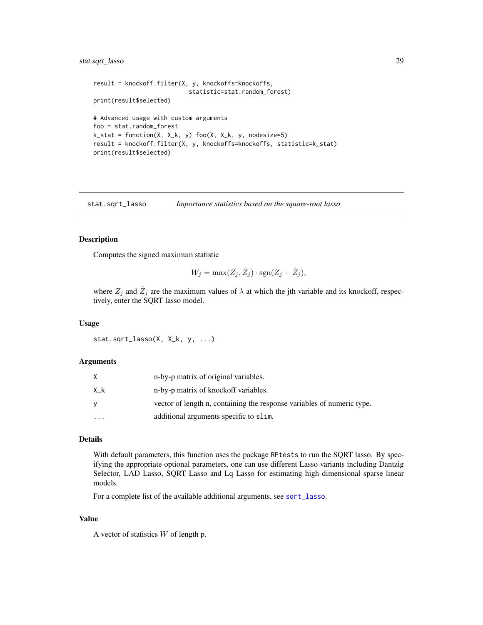#### <span id="page-28-0"></span>stat.sqrt\_lasso 29

```
result = knockoff.filter(X, y, knockoffs=knockoffs,
                           statistic=stat.random_forest)
print(result$selected)
# Advanced usage with custom arguments
foo = stat.random_forest
k_{s} = function(X, X_k, y) foo(X, X_k, y, nodesize=5)
result = knockoff.filter(X, y, knockoffs=knockoffs, statistic=k_stat)
print(result$selected)
```
<span id="page-28-1"></span>stat.sqrt\_lasso *Importance statistics based on the square-root lasso*

#### Description

Computes the signed maximum statistic

$$
W_j = \max(Z_j, \tilde{Z}_j) \cdot \text{sgn}(Z_j - \tilde{Z}_j),
$$

where  $Z_j$  and  $\tilde{Z}_j$  are the maximum values of  $\lambda$  at which the jth variable and its knockoff, respectively, enter the SQRT lasso model.

#### Usage

```
stat.sqrt_lasso(X, X_k, y, ...)
```
#### Arguments

|           | n-by-p matrix of original variables.                                   |
|-----------|------------------------------------------------------------------------|
| Χk        | n-by-p matrix of knockoff variables.                                   |
|           | vector of length n, containing the response variables of numeric type. |
| $\ddotsc$ | additional arguments specific to slim.                                 |

#### Details

With default parameters, this function uses the package RPtests to run the SQRT lasso. By specifying the appropriate optional parameters, one can use different Lasso variants including Dantzig Selector, LAD Lasso, SQRT Lasso and Lq Lasso for estimating high dimensional sparse linear models.

For a complete list of the available additional arguments, see [sqrt\\_lasso](#page-0-0).

#### Value

A vector of statistics  $W$  of length p.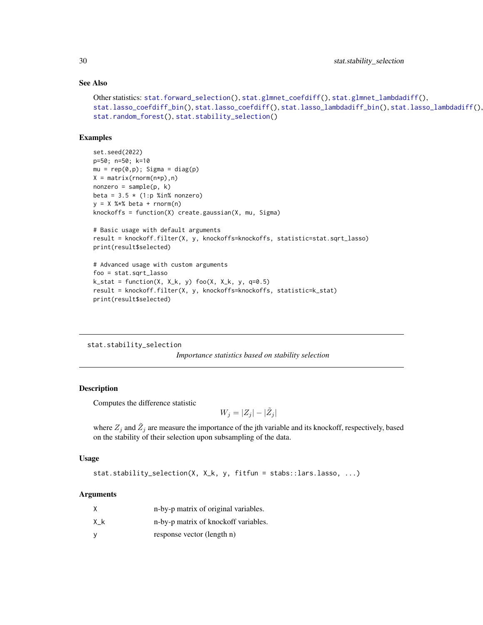#### See Also

```
Other statistics: stat.forward_selection(), stat.glmnet_coefdiff(), stat.glmnet_lambdadiff(),
stat.lasso_coefdiff_bin(), stat.lasso_coefdiff(), stat.lasso_lambdadiff_bin(), stat.lasso_lambdadiff(),
stat.random_forest(), stat.stability_selection()
```
#### Examples

```
set.seed(2022)
p=50; n=50; k=10
mu = rep(0,p); Sigma = diag(p)
X = matrix(rnorm(n*p), n)nonzero = sample(p, k)beta = 3.5 * (1:p %in% nonzero)y = X %*% beta + rnorm(n)
knockoffs = function(X) create.gaussian(X, mu, Sigma)
# Basic usage with default arguments
```

```
result = knockoff.filter(X, y, knockoffs=knockoffs, statistic=stat.sqrt_lasso)
print(result$selected)
```

```
# Advanced usage with custom arguments
foo = stat.sqrt_lasso
k\_stat = function(X, X_k, y) foo(X, X_k, y, q=0.5)result = knockoff.filter(X, y, knockoffs=knockoffs, statistic=k_stat)
print(result$selected)
```
#### <span id="page-29-1"></span>stat.stability\_selection

*Importance statistics based on stability selection*

#### Description

Computes the difference statistic

 $W_j = |Z_j| - |\tilde{Z}_j|$ 

where  $Z_j$  and  $\tilde{Z}_j$  are measure the importance of the jth variable and its knockoff, respectively, based on the stability of their selection upon subsampling of the data.

#### Usage

```
stat.stability_selection(X, X_k, y, fitfun = stabs::lars.lasso, ...)
```
#### Arguments

| X  | n-by-p matrix of original variables. |
|----|--------------------------------------|
| Χk | n-by-p matrix of knockoff variables. |
| У  | response vector (length n)           |

<span id="page-29-0"></span>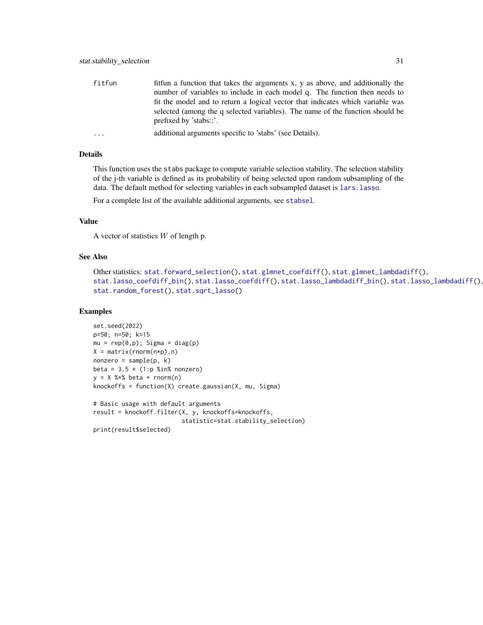<span id="page-30-0"></span>

| fitfun | fitting a function that takes the arguments x, y as above, and additionally the                         |
|--------|---------------------------------------------------------------------------------------------------------|
|        | number of variables to include in each model q. The function then needs to                              |
|        | fit the model and to return a logical vector that indicates which variable was                          |
|        | selected (among the q selected variables). The name of the function should be<br>prefixed by 'stabs::'. |
|        | additional arguments specific to 'stabs' (see Details).                                                 |

#### Details

This function uses the stabs package to compute variable selection stability. The selection stability of the j-th variable is defined as its probability of being selected upon random subsampling of the data. The default method for selecting variables in each subsampled dataset is lars. lasso.

For a complete list of the available additional arguments, see [stabsel](#page-0-0).

#### Value

A vector of statistics  $W$  of length p.

#### See Also

```
Other statistics: stat.forward_selection(), stat.glmnet_coefdiff(), stat.glmnet_lambdadiff(),
stat.lasso_coefdiff_bin(), stat.lasso_coefdiff(), stat.lasso_lambdadiff_bin(), stat.lasso_lambdadiff(),
stat.random_forest(), stat.sqrt_lasso()
```
#### Examples

```
set.seed(2022)
p=50; n=50; k=15
mu = rep(0,p); Sigma = diag(p)
X = matrix(rnorm(n*p), n)nonzero = sample(p, k)beta = 3.5 * (1:p %in% nonzero)y = X %*% beta + rnorm(n)knockoffs = function(X) create.gaussian(X, mu, Sigma)
# Basic usage with default arguments
result = knockoff.filter(X, y, knockoffs=knockoffs,
                         statistic=stat.stability_selection)
print(result$selected)
```